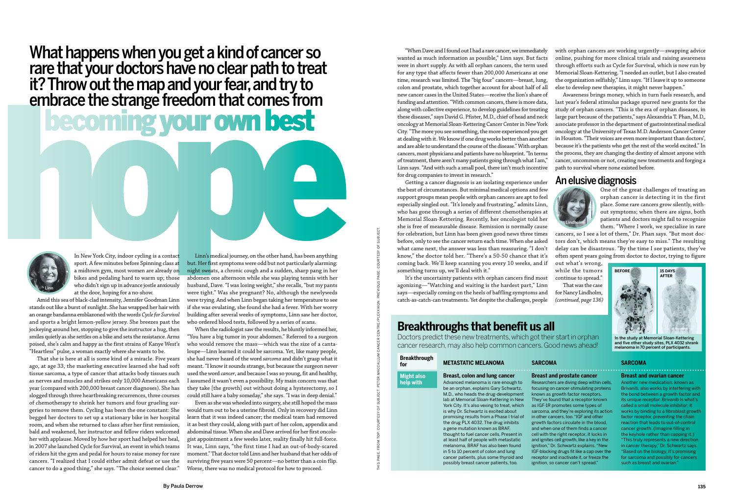# What happens when you get a kind of cancer so rare that your doctors have no clear path to treat it? Throw out the map and your fear, and try to embrace the strange freedom that comes from

# embrace the strange freedom that comes from<br> **DECOMING YOUT OWN DEST**<br>
In New York City, indoor cycling is a contact<br>
Final spectral is a contact that intervention the content of the control of the control of the contact o becoming your own best

"When Dave and I found out I had a rare cancer, we immediately wanted as much information as possible," Linn says. But facts were in short supply. As with all orphan cancers, the term used for any type that affects fewer than 200,000 Americans at one time, research was limited. The "big four" cancers—breast, lung, colon and prostate, which together account for about half of all new cancer cases in the United States—receive the lion's share of funding and attention. "With common cancers, there is more data, along with collective experience, to develop guidelines for treating these diseases," says David G. Pfister, M.D., chief of head and neck oncology at Memorial Sloan-Kettering Cancer Center in New York City. "The more you see something, the more experienced you get at dealing with it. We know if one drug works better than another and are able to understand the course of the disease." With orphan cancers, most physicians and patients have no blueprint. "In terms of treatment, there aren't many patients going through what I am," Linn says. "And with such a small pool, there isn't much incentive for drug companies to invest in research."

Getting a cancer diagnosis is an isolating experience under the best of circumstances. But minimal medical options and few support groups mean people with orphan cancers are apt to feel especially singled out. "It's lonely and frustrating," admits Linn, who has gone through a series of different chemotherapies at Memorial Sloan-Kettering. Recently, her oncologist told her she is free of measurable disease. Remission is normally cause for celebration, but Linn has been given good news three times before, only to see the cancer return each time. When she asked what came next, the answer was less than reassuring. "I don't know," the doctor told her. "There's a 50-50 chance that it's coming back. We'll keep scanning you every 10 weeks, and if something turns up, we'll deal with it."

It's the uncertainty patients with orphan cancers find most agonizing—"Watching and waiting is the hardest part," Linn says—especially coming on the heels of baffling symptoms and catch-as-catch-can treatments. Yet despite the challenges, people

# **Breakthroughs that benefit us all**

THIS PAGE, FROM TOP: COURTESY OF SUBJECT. PETER MACCALLUM CANCER CENTRE/PLEXXIKON. PREVIOUS PAGE: COURTESY OF SUBJECT.

MACCALLUM CANCER CENTRE

PETER I ECT.

 $\sigma$ 

PAGE.

 $\frac{1}{2}$ 

Doctors predict these new treatments, which got their start in orphan cancer research, may also help common cancers. Good news ahead!

with orphan cancers are working urgently—swapping advice online, pushing for more clinical trials and raising awareness through efforts such as Cycle for Survival, which is now run by Memorial Sloan-Kettering. "I needed an outlet, but I also created the organization selfishly," Linn says. "If I leave it up to someone else to develop new therapies, it might never happen."

Awareness brings money, which in turn fuels research, and last year's federal stimulus package spurred new grants for the study of orphan cancers. "This is the era of orphan diseases, in large part because of the patients," says Alexandria T. Phan, M.D., associate professor in the department of gastrointestinal medical oncology at the University of Texas M.D. Anderson Cancer Center in Houston. "Their voices are even more important than doctors', because it's the patients who get the rest of the world excited." In the process, they are changing the destiny of almost anyone with cancer, uncommon or not, creating new treatments and forging a path to survival where none existed before.

# An elusive diagnosis

One of the great challenges of treating an orphan cancer is detecting it in the first place. Some rare cancers grow silently, without symptoms; when there are signs, both patients and doctors might fail to recognize them. "Where I work, we specialize in rare

cancers, so I see a lot of them," Dr. Phan says. "But most doctors don't, which means they're easy to miss." The resulting delay can be disastrous. "By the time I see patients, they've often spent years going from doctor to doctor, trying to figure

In New York City, indoor cycling is a contact sport. A few minutes before Spinning class at a midtown gym, most women are already on bikes and pedaling hard to warm up; those who didn't sign up in advance jostle anxiously at the door, hoping for a no-show.

Amid this sea of black-clad intensity, Jennifer Goodman Linn stands out like a burst of sunlight. She has wrapped her hair with an orange bandanna emblazoned with the words *Cycle for Survival* and sports a bright lemon-yellow jersey. She breezes past the jockeying around her, stopping to give the instructor a hug, then smiles quietly as she settles on a bike and sets the resistance. Arms poised, she's calm and happy as the first strains of Kanye West's "Heartless" pulse, a woman exactly where she wants to be.

That she is here at all is some kind of a miracle. Five years ago, at age 33, the marketing executive learned she had soft tissue sarcoma, a type of cancer that attacks body tissues such as nerves and muscles and strikes only 10,000 Americans each year (compared with 200,000 breast cancer diagnoses). She has slogged through three heartbreaking recurrences, three courses of chemotherapy to shrink her tumors and four grueling surgeries to remove them. Cycling has been the one constant: She begged her doctors to set up a stationary bike in her hospital room, and when she returned to class after her first remission, bald and weakened, her instructor and fellow riders welcomed her with applause. Moved by how her sport had helped her heal, in 2007 she launched Cycle for Survival, an event in which teams of riders hit the gym and pedal for hours to raise money for rare cancers. "I realized that I could either admit defeat or use the cancer to do a good thing," she says. "The choice seemed clear."

Linn's medical journey, on the other hand, has been anything but. Her first symptoms were odd but not particularly alarming: night sweats, a chronic cough and a sudden, sharp pang in her abdomen one afternoon while she was playing tennis with her husband, Dave. "I was losing weight," she recalls, "but my pants were tight." Was she pregnant? No, although the newlyweds were trying. And when Linn began taking her temperature to see if she was ovulating, she found she had a fever. With her worry building after several weeks of symptoms, Linn saw her doctor, who ordered blood tests, followed by a series of scans.

out what's wrong, while the tumors continue to spread." That was the case for Nancy Lindholm, *(continued, page 136)*

When the radiologist saw the results, he bluntly informed her, "You have a big tumor in your abdomen." Referred to a surgeon who would remove the mass—which was the size of a cantaloupe—Linn learned it could be sarcoma. Yet, like many people, she had never heard of the word *sarcoma* and didn't grasp what it meant. "I know it sounds strange, but because the surgeon never used the word *cancer*, and because I was so young, fit and healthy, I assumed it wasn't even a possibility. My main concern was that they take [the growth] out without doing a hysterectomy, so I could still have a baby someday," she says. "I was in deep denial."

| <b>Breakthrough</b><br>for     | <b>METASTATIC MELANOMA</b>                                                                                                                                                                                                                                                                                                                                                                                                                                                                                                                                                                                                                                            | <b>SARCOMA</b>                                                                                                                                                                                                                                                                                                                                                                                                                                                                                                                                                                                                                                                                         | <b>SARCOMA</b>                                                                                                                                                                                                                                                   |
|--------------------------------|-----------------------------------------------------------------------------------------------------------------------------------------------------------------------------------------------------------------------------------------------------------------------------------------------------------------------------------------------------------------------------------------------------------------------------------------------------------------------------------------------------------------------------------------------------------------------------------------------------------------------------------------------------------------------|----------------------------------------------------------------------------------------------------------------------------------------------------------------------------------------------------------------------------------------------------------------------------------------------------------------------------------------------------------------------------------------------------------------------------------------------------------------------------------------------------------------------------------------------------------------------------------------------------------------------------------------------------------------------------------------|------------------------------------------------------------------------------------------------------------------------------------------------------------------------------------------------------------------------------------------------------------------|
| <b>Might also</b><br>help with | Breast, colon and lung cancer<br>Advanced melanoma is rare enough to<br>be an orphan, explains Gary Schwartz,<br>M.D., who heads the drug-development<br>lab at Memorial Sloan-Kettering in New<br>York City. It's also vexing to treat, which<br>is why Dr. Schwartz is excited about<br>promising results from a Phase I trial of<br>the drug PLX 4032. The drug inhibits<br>a gene mutation known as BRAF.<br>thought to fuel cancer cells. Present in<br>at least half of people with metastatic<br>melanoma, BRAF has also been found<br>in 5 to 10 percent of colon and lung<br>cancer patients, plus some thyroid and<br>possibly breast cancer patients, too. | <b>Breast and prostate cancer</b><br>Researchers are diving deep within cells,<br>focusing on cancer-stimulating proteins<br>known as growth factor receptors.<br>They've found that a receptor known<br>as IGF-1R promotes some types of<br>sarcoma, and they're exploring its action<br>in other cancers, too. "IGF and other<br>growth factors circulate in the blood.<br>and when one of them finds a cancer<br>cell with the right receptor, it locks in<br>and ignites cell growth, like a key in the<br>ignition," Dr. Schwartz explains. "New<br>IGF-blocking drugs fit like a cap over the<br>receptor and inactivate it, or freeze the<br>ignition, so cancer can't spread." | <b>Breast and</b><br>Another nev<br>Brivanib, als<br>the bond be<br>its unique re<br>called a sma<br>works by bir<br>factor recep<br>reaction tha<br>cancer grow<br>the keyhole<br>"This truly r<br>in cancer the<br>"Based on tl<br>for sarcoma<br>such as brea |

Even as she was wheeled into surgery, she still hoped the mass would turn out to be a uterine fibroid. Only in recovery did Linn learn that it was indeed cancer; the medical team had removed it as best they could, along with part of her colon, appendix and abdominal tissue. When she and Dave arrived for her first oncologist appointment a few weeks later, reality finally hit full-force. It was, Linn says, "the first time I had an out-of-body-scared moment." That doctor told Linn and her husband that her odds of surviving five years were 50 percent—no better than a coin flip. Worse, there was no medical protocol for how to proceed.







In the study at Memorial Sloan-Kettering<br>and five other study sites, PLX 4032 shrank  $\alpha$  and the strict study sites,  $\alpha$ ,  $\alpha$ ,  $\alpha$ 

### **fate cancer**

### **Breast and ovarian cancer**

Another new medication  $km$ own as Brivanib, also works by interfering with the bond between a growth factor and its unique receptor. Brivanib is what's  $cal$ called a small molecule inhibitor: it works by binding to a fibroblast growtl  $factor$  receptor, preventing the chain reaction that leads to out-of-control  $\alpha$  cancer growth. (Imagine filling in the keyhole rather than capping it.) "This truly represents a new directior in cancer therapy," Dr. Schwartz says. "Based on the biology, it's promising for sarcoma and possibly for cancers such as breast and ovarian.